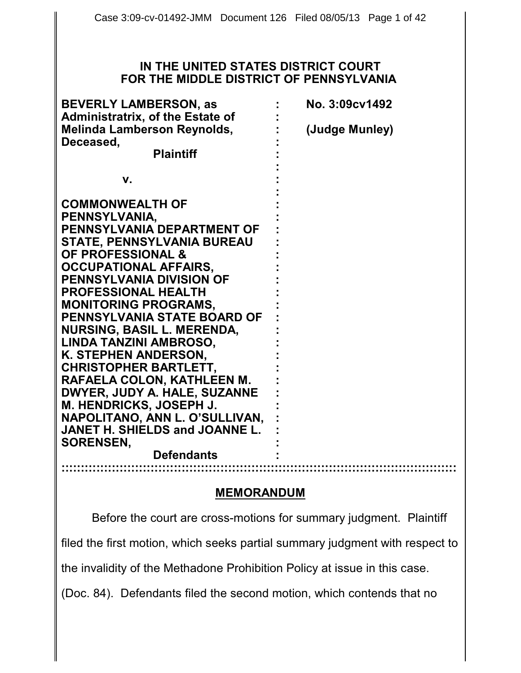#### **IN THE UNITED STATES DISTRICT COURT FOR THE MIDDLE DISTRICT OF PENNSYLVANIA**

| <b>BEVERLY LAMBERSON, as</b><br><b>Administratrix, of the Estate of</b> | No. 3:09cv1492 |
|-------------------------------------------------------------------------|----------------|
| <b>Melinda Lamberson Reynolds,</b>                                      | (Judge Munley) |
| Deceased,                                                               |                |
| <b>Plaintiff</b>                                                        |                |
| v.                                                                      |                |
|                                                                         |                |
| <b>COMMONWEALTH OF</b>                                                  |                |
| PENNSYLVANIA,                                                           |                |
| PENNSYLVANIA DEPARTMENT OF                                              |                |
| STATE, PENNSYLVANIA BUREAU                                              |                |
| <b>OF PROFESSIONAL &amp;</b>                                            |                |
| OCCUPATIONAL AFFAIRS,                                                   |                |
| PENNSYLVANIA DIVISION OF                                                |                |
| <b>PROFESSIONAL HEALTH</b>                                              |                |
| <b>MONITORING PROGRAMS.</b>                                             |                |
| PENNSYLVANIA STATE BOARD OF                                             |                |
| NURSING, BASIL L. MERENDA,                                              |                |
| LINDA TANZINI AMBROSO,                                                  |                |
| K. STEPHEN ANDERSON,                                                    |                |
| <b>CHRISTOPHER BARTLETT,</b>                                            |                |
| RAFAELA COLON, KATHLEEN M.                                              |                |
| DWYER, JUDY A. HALE, SUZANNE                                            |                |
| M. HENDRICKS, JOSEPH J.                                                 |                |
| NAPOLITANO, ANN L. O'SULLIVAN,                                          |                |
| JANET H. SHIELDS and JOANNE L.                                          |                |
| <b>SORENSEN,</b>                                                        |                |
| <b>Defendants</b>                                                       |                |
|                                                                         |                |

#### **MEMORANDUM**

Before the court are cross-motions for summary judgment. Plaintiff filed the first motion, which seeks partial summary judgment with respect to the invalidity of the Methadone Prohibition Policy at issue in this case.

(Doc. 84). Defendants filed the second motion, which contends that no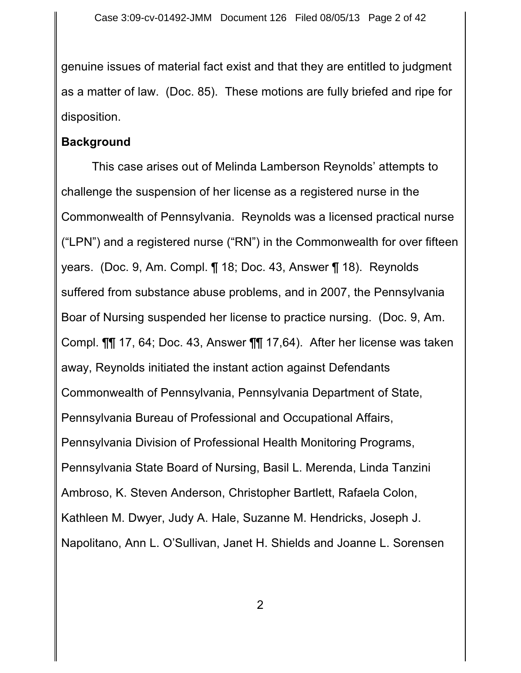genuine issues of material fact exist and that they are entitled to judgment as a matter of law. (Doc. 85). These motions are fully briefed and ripe for disposition.

#### **Background**

This case arises out of Melinda Lamberson Reynolds' attempts to challenge the suspension of her license as a registered nurse in the Commonwealth of Pennsylvania. Reynolds was a licensed practical nurse ("LPN") and a registered nurse ("RN") in the Commonwealth for over fifteen years. (Doc. 9, Am. Compl. ¶ 18; Doc. 43, Answer ¶ 18). Reynolds suffered from substance abuse problems, and in 2007, the Pennsylvania Boar of Nursing suspended her license to practice nursing. (Doc. 9, Am. Compl. ¶¶ 17, 64; Doc. 43, Answer ¶¶ 17,64). After her license was taken away, Reynolds initiated the instant action against Defendants Commonwealth of Pennsylvania, Pennsylvania Department of State, Pennsylvania Bureau of Professional and Occupational Affairs, Pennsylvania Division of Professional Health Monitoring Programs, Pennsylvania State Board of Nursing, Basil L. Merenda, Linda Tanzini Ambroso, K. Steven Anderson, Christopher Bartlett, Rafaela Colon, Kathleen M. Dwyer, Judy A. Hale, Suzanne M. Hendricks, Joseph J. Napolitano, Ann L. O'Sullivan, Janet H. Shields and Joanne L. Sorensen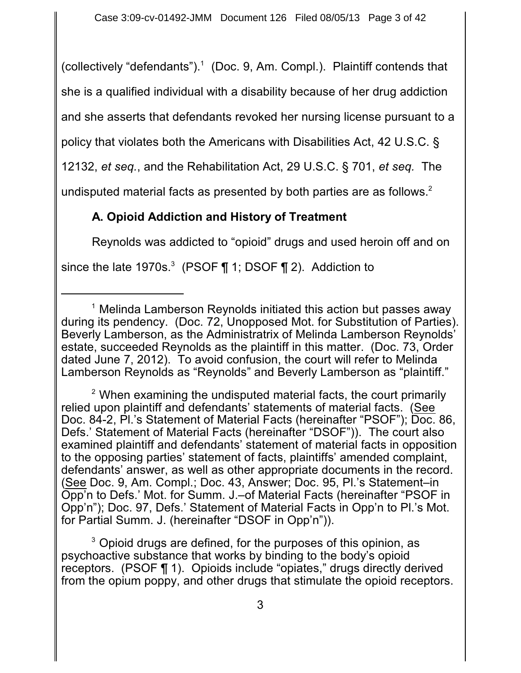(collectively "defendants"). $<sup>1</sup>$  (Doc. 9, Am. Compl.). Plaintiff contends that</sup>

she is a qualified individual with a disability because of her drug addiction

and she asserts that defendants revoked her nursing license pursuant to a

policy that violates both the Americans with Disabilities Act, 42 U.S.C. §

12132, *et seq.*, and the Rehabilitation Act, 29 U.S.C. § 701, *et seq.* The

undisputed material facts as presented by both parties are as follows. $2^2$ 

# **A. Opioid Addiction and History of Treatment**

Reynolds was addicted to "opioid" drugs and used heroin off and on

since the late 1970s.<sup>3</sup> (PSOF  $\P$  1; DSOF  $\P$  2). Addiction to

 $2$  When examining the undisputed material facts, the court primarily relied upon plaintiff and defendants' statements of material facts. (See Doc. 84-2, Pl.'s Statement of Material Facts (hereinafter "PSOF"); Doc. 86, Defs.' Statement of Material Facts (hereinafter "DSOF")). The court also examined plaintiff and defendants' statement of material facts in opposition to the opposing parties' statement of facts, plaintiffs' amended complaint, defendants' answer, as well as other appropriate documents in the record. (See Doc. 9, Am. Compl.; Doc. 43, Answer; Doc. 95, Pl.'s Statement–in Opp'n to Defs.' Mot. for Summ. J.–of Material Facts (hereinafter "PSOF in Opp'n"); Doc. 97, Defs.' Statement of Material Facts in Opp'n to Pl.'s Mot. for Partial Summ. J. (hereinafter "DSOF in Opp'n")).

 $^3$  Opioid drugs are defined, for the purposes of this opinion, as psychoactive substance that works by binding to the body's opioid receptors. (PSOF ¶ 1). Opioids include "opiates," drugs directly derived from the opium poppy, and other drugs that stimulate the opioid receptors.

 $1$  Melinda Lamberson Reynolds initiated this action but passes away during its pendency. (Doc. 72, Unopposed Mot. for Substitution of Parties). Beverly Lamberson, as the Administratrix of Melinda Lamberson Reynolds' estate, succeeded Reynolds as the plaintiff in this matter. (Doc. 73, Order dated June 7, 2012). To avoid confusion, the court will refer to Melinda Lamberson Reynolds as "Reynolds" and Beverly Lamberson as "plaintiff."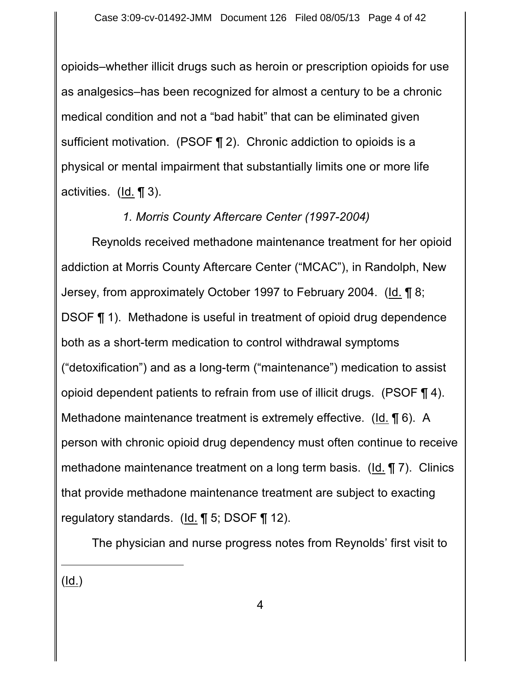opioids–whether illicit drugs such as heroin or prescription opioids for use as analgesics–has been recognized for almost a century to be a chronic medical condition and not a "bad habit" that can be eliminated given sufficient motivation. (PSOF ¶ 2). Chronic addiction to opioids is a physical or mental impairment that substantially limits one or more life activities. (Id. ¶ 3).

### *1. Morris County Aftercare Center (1997-2004)*

Reynolds received methadone maintenance treatment for her opioid addiction at Morris County Aftercare Center ("MCAC"), in Randolph, New Jersey, from approximately October 1997 to February 2004. (Id. 18; DSOF ¶ 1). Methadone is useful in treatment of opioid drug dependence both as a short-term medication to control withdrawal symptoms ("detoxification") and as a long-term ("maintenance") medication to assist opioid dependent patients to refrain from use of illicit drugs. (PSOF ¶ 4). Methadone maintenance treatment is extremely effective. (Id. ¶ 6). A person with chronic opioid drug dependency must often continue to receive methadone maintenance treatment on a long term basis. (Id. ¶ 7). Clinics that provide methadone maintenance treatment are subject to exacting regulatory standards. (Id. ¶ 5; DSOF ¶ 12).

The physician and nurse progress notes from Reynolds' first visit to

(Id.)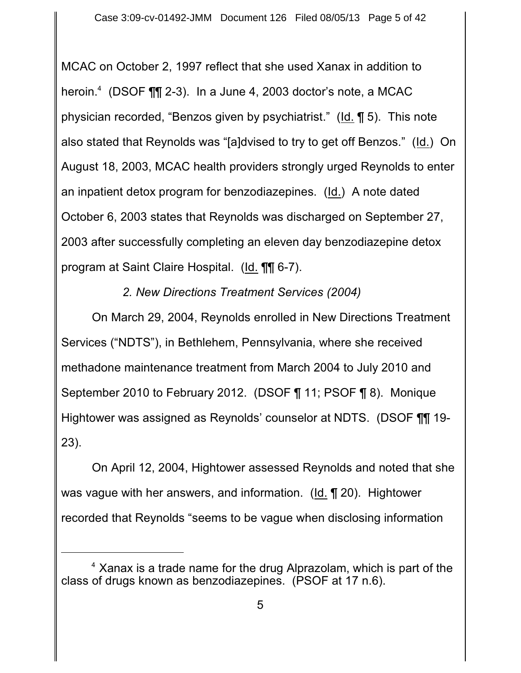MCAC on October 2, 1997 reflect that she used Xanax in addition to heroin. $4$  (DSOF  $\P$  $\P$  2-3). In a June 4, 2003 doctor's note, a MCAC physician recorded, "Benzos given by psychiatrist." (Id. ¶ 5). This note also stated that Reynolds was "[a]dvised to try to get off Benzos." (Id.) On August 18, 2003, MCAC health providers strongly urged Reynolds to enter an inpatient detox program for benzodiazepines. (Id.) A note dated October 6, 2003 states that Reynolds was discharged on September 27, 2003 after successfully completing an eleven day benzodiazepine detox program at Saint Claire Hospital. (Id. ¶¶ 6-7).

## *2. New Directions Treatment Services (2004)*

On March 29, 2004, Reynolds enrolled in New Directions Treatment Services ("NDTS"), in Bethlehem, Pennsylvania, where she received methadone maintenance treatment from March 2004 to July 2010 and September 2010 to February 2012. (DSOF ¶ 11; PSOF ¶ 8). Monique Hightower was assigned as Reynolds' counselor at NDTS. (DSOF ¶¶ 19- 23).

On April 12, 2004, Hightower assessed Reynolds and noted that she was vague with her answers, and information. (Id. ¶ 20). Hightower recorded that Reynolds "seems to be vague when disclosing information

 $4$  Xanax is a trade name for the drug Alprazolam, which is part of the class of drugs known as benzodiazepines. (PSOF at 17 n.6).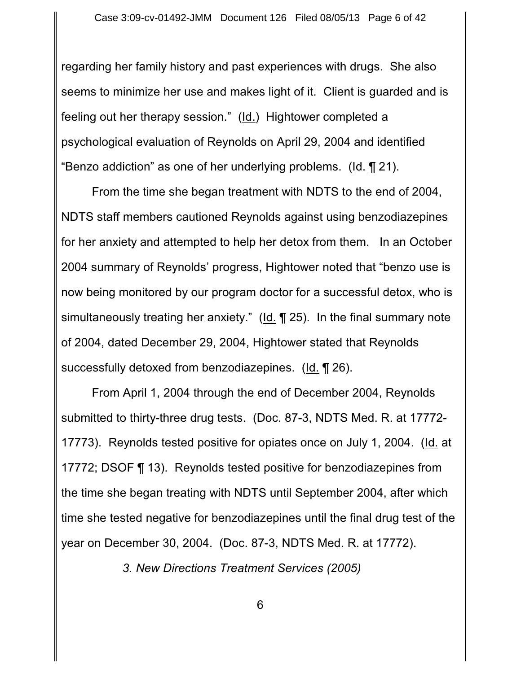regarding her family history and past experiences with drugs. She also seems to minimize her use and makes light of it. Client is guarded and is feeling out her therapy session." (Id.) Hightower completed a psychological evaluation of Reynolds on April 29, 2004 and identified "Benzo addiction" as one of her underlying problems. (Id. ¶ 21).

From the time she began treatment with NDTS to the end of 2004, NDTS staff members cautioned Reynolds against using benzodiazepines for her anxiety and attempted to help her detox from them. In an October 2004 summary of Reynolds' progress, Hightower noted that "benzo use is now being monitored by our program doctor for a successful detox, who is simultaneously treating her anxiety." (Id. ¶ 25). In the final summary note of 2004, dated December 29, 2004, Hightower stated that Reynolds successfully detoxed from benzodiazepines. (Id. ¶ 26).

From April 1, 2004 through the end of December 2004, Reynolds submitted to thirty-three drug tests. (Doc. 87-3, NDTS Med. R. at 17772- 17773). Reynolds tested positive for opiates once on July 1, 2004. (Id. at 17772; DSOF ¶ 13). Reynolds tested positive for benzodiazepines from the time she began treating with NDTS until September 2004, after which time she tested negative for benzodiazepines until the final drug test of the year on December 30, 2004. (Doc. 87-3, NDTS Med. R. at 17772).

*3. New Directions Treatment Services (2005)*

6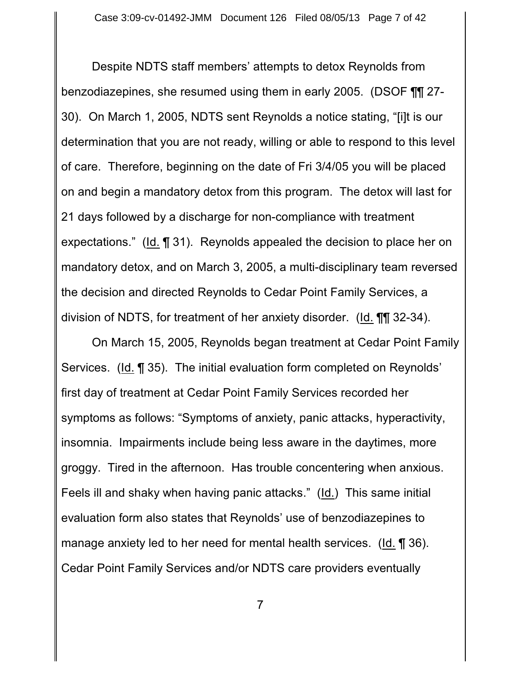Despite NDTS staff members' attempts to detox Reynolds from benzodiazepines, she resumed using them in early 2005. (DSOF ¶¶ 27- 30). On March 1, 2005, NDTS sent Reynolds a notice stating, "[i]t is our determination that you are not ready, willing or able to respond to this level of care. Therefore, beginning on the date of Fri 3/4/05 you will be placed on and begin a mandatory detox from this program. The detox will last for 21 days followed by a discharge for non-compliance with treatment expectations." (Id. ¶ 31). Reynolds appealed the decision to place her on mandatory detox, and on March 3, 2005, a multi-disciplinary team reversed the decision and directed Reynolds to Cedar Point Family Services, a division of NDTS, for treatment of her anxiety disorder. (Id. ¶¶ 32-34).

On March 15, 2005, Reynolds began treatment at Cedar Point Family Services. (Id. ¶ 35). The initial evaluation form completed on Reynolds' first day of treatment at Cedar Point Family Services recorded her symptoms as follows: "Symptoms of anxiety, panic attacks, hyperactivity, insomnia. Impairments include being less aware in the daytimes, more groggy. Tired in the afternoon. Has trouble concentering when anxious. Feels ill and shaky when having panic attacks." (Id.) This same initial evaluation form also states that Reynolds' use of benzodiazepines to manage anxiety led to her need for mental health services. (Id. ¶ 36). Cedar Point Family Services and/or NDTS care providers eventually

7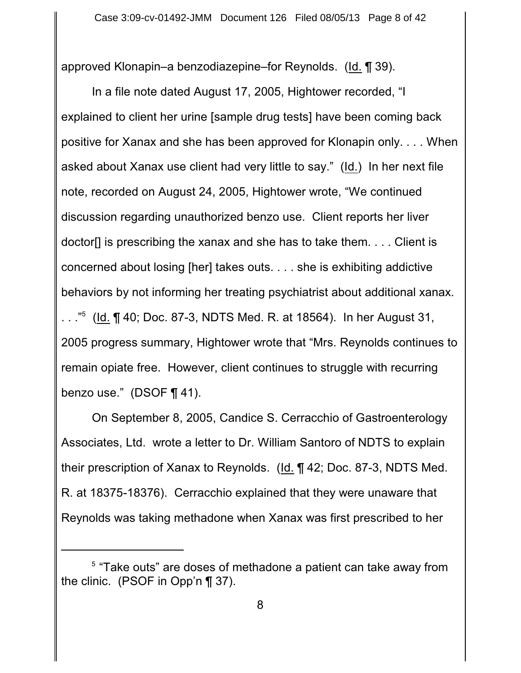approved Klonapin–a benzodiazepine–for Reynolds. (Id. ¶ 39).

In a file note dated August 17, 2005, Hightower recorded, "I explained to client her urine [sample drug tests] have been coming back positive for Xanax and she has been approved for Klonapin only. . . . When asked about Xanax use client had very little to say." (Id.) In her next file note, recorded on August 24, 2005, Hightower wrote, "We continued discussion regarding unauthorized benzo use. Client reports her liver doctor[] is prescribing the xanax and she has to take them. . . . Client is concerned about losing [her] takes outs. . . . she is exhibiting addictive behaviors by not informing her treating psychiatrist about additional xanax. ..." (Id.  $\P$  40; Doc. 87-3, NDTS Med. R. at 18564). In her August 31, 2005 progress summary, Hightower wrote that "Mrs. Reynolds continues to remain opiate free. However, client continues to struggle with recurring benzo use." (DSOF ¶ 41).

On September 8, 2005, Candice S. Cerracchio of Gastroenterology Associates, Ltd. wrote a letter to Dr. William Santoro of NDTS to explain their prescription of Xanax to Reynolds. (Id. ¶ 42; Doc. 87-3, NDTS Med. R. at 18375-18376). Cerracchio explained that they were unaware that Reynolds was taking methadone when Xanax was first prescribed to her

 $5$  "Take outs" are doses of methadone a patient can take away from the clinic. (PSOF in Opp'n ¶ 37).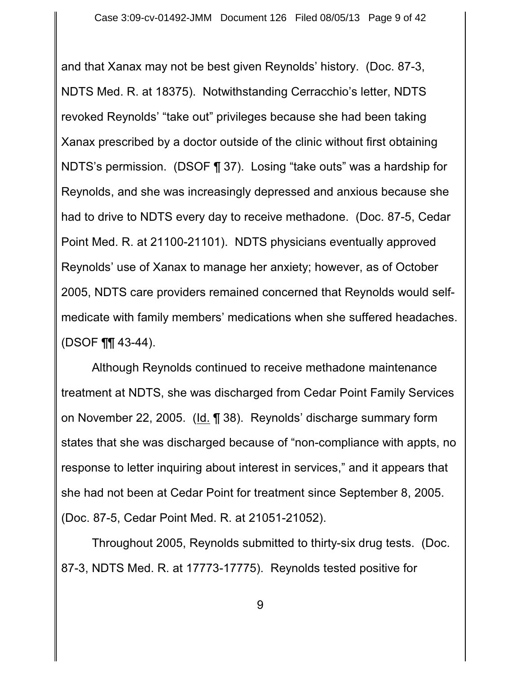and that Xanax may not be best given Reynolds' history. (Doc. 87-3, NDTS Med. R. at 18375). Notwithstanding Cerracchio's letter, NDTS revoked Reynolds' "take out" privileges because she had been taking Xanax prescribed by a doctor outside of the clinic without first obtaining NDTS's permission. (DSOF ¶ 37). Losing "take outs" was a hardship for Reynolds, and she was increasingly depressed and anxious because she had to drive to NDTS every day to receive methadone. (Doc. 87-5, Cedar Point Med. R. at 21100-21101). NDTS physicians eventually approved Reynolds' use of Xanax to manage her anxiety; however, as of October 2005, NDTS care providers remained concerned that Reynolds would selfmedicate with family members' medications when she suffered headaches. (DSOF ¶¶ 43-44).

Although Reynolds continued to receive methadone maintenance treatment at NDTS, she was discharged from Cedar Point Family Services on November 22, 2005. (Id. ¶ 38). Reynolds' discharge summary form states that she was discharged because of "non-compliance with appts, no response to letter inquiring about interest in services," and it appears that she had not been at Cedar Point for treatment since September 8, 2005. (Doc. 87-5, Cedar Point Med. R. at 21051-21052).

Throughout 2005, Reynolds submitted to thirty-six drug tests. (Doc. 87-3, NDTS Med. R. at 17773-17775). Reynolds tested positive for

9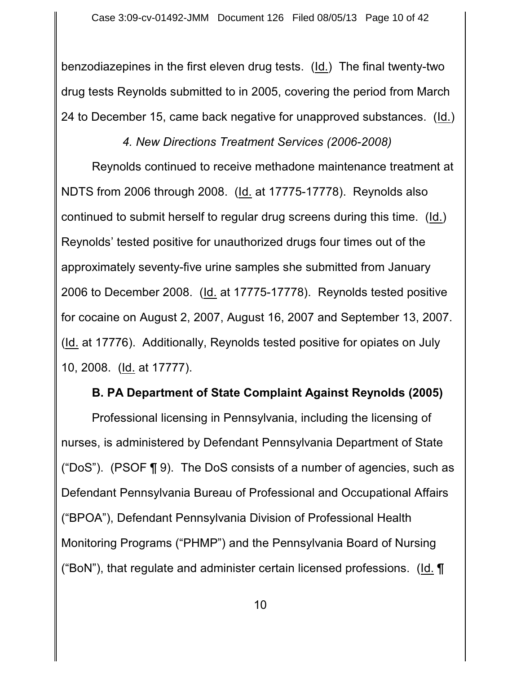benzodiazepines in the first eleven drug tests. (Id.) The final twenty-two drug tests Reynolds submitted to in 2005, covering the period from March 24 to December 15, came back negative for unapproved substances. (Id.)

*4. New Directions Treatment Services (2006-2008)*

Reynolds continued to receive methadone maintenance treatment at NDTS from 2006 through 2008. (Id. at 17775-17778). Reynolds also continued to submit herself to regular drug screens during this time. (Id.) Reynolds' tested positive for unauthorized drugs four times out of the approximately seventy-five urine samples she submitted from January 2006 to December 2008. (Id. at 17775-17778). Reynolds tested positive for cocaine on August 2, 2007, August 16, 2007 and September 13, 2007. (Id. at 17776). Additionally, Reynolds tested positive for opiates on July 10, 2008. (Id. at 17777).

### **B. PA Department of State Complaint Against Reynolds (2005)**

Professional licensing in Pennsylvania, including the licensing of nurses, is administered by Defendant Pennsylvania Department of State ("DoS"). (PSOF  $\P$  9). The DoS consists of a number of agencies, such as Defendant Pennsylvania Bureau of Professional and Occupational Affairs ("BPOA"), Defendant Pennsylvania Division of Professional Health Monitoring Programs ("PHMP") and the Pennsylvania Board of Nursing ("BoN"), that regulate and administer certain licensed professions. (Id.  $\P$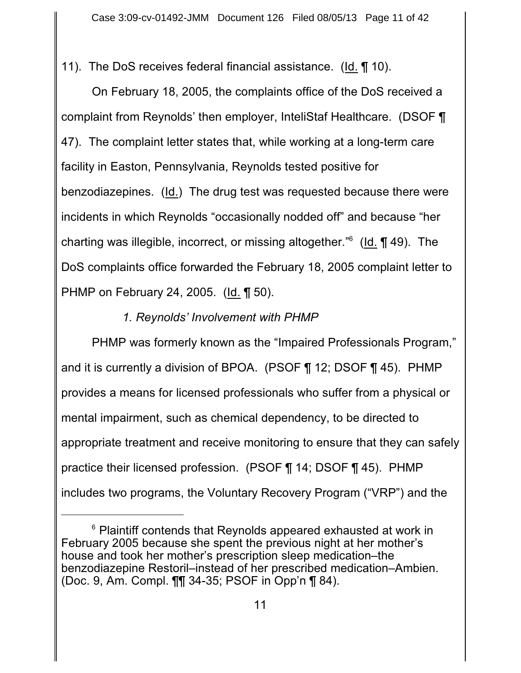11). The DoS receives federal financial assistance. (Id. ¶ 10).

On February 18, 2005, the complaints office of the DoS received a complaint from Reynolds' then employer, InteliStaf Healthcare. (DSOF ¶ 47). The complaint letter states that, while working at a long-term care facility in Easton, Pennsylvania, Reynolds tested positive for benzodiazepines. (Id.) The drug test was requested because there were incidents in which Reynolds "occasionally nodded off" and because "her charting was illegible, incorrect, or missing altogether." $6$  (Id.  $\P$  49). The DoS complaints office forwarded the February 18, 2005 complaint letter to PHMP on February 24, 2005. (Id. ¶ 50).

## *1. Reynolds' Involvement with PHMP*

PHMP was formerly known as the "Impaired Professionals Program," and it is currently a division of BPOA. (PSOF ¶ 12; DSOF ¶ 45). PHMP provides a means for licensed professionals who suffer from a physical or mental impairment, such as chemical dependency, to be directed to appropriate treatment and receive monitoring to ensure that they can safely practice their licensed profession. (PSOF ¶ 14; DSOF ¶ 45). PHMP includes two programs, the Voluntary Recovery Program ("VRP") and the

 $6$  Plaintiff contends that Reynolds appeared exhausted at work in February 2005 because she spent the previous night at her mother's house and took her mother's prescription sleep medication–the benzodiazepine Restoril–instead of her prescribed medication–Ambien. (Doc. 9, Am. Compl. ¶¶ 34-35; PSOF in Opp'n ¶ 84).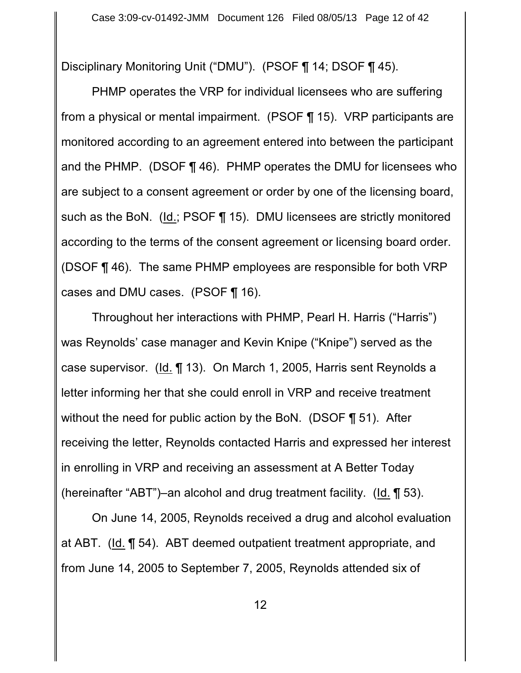Disciplinary Monitoring Unit ("DMU"). (PSOF ¶ 14; DSOF ¶ 45).

PHMP operates the VRP for individual licensees who are suffering from a physical or mental impairment. (PSOF ¶ 15). VRP participants are monitored according to an agreement entered into between the participant and the PHMP. (DSOF ¶ 46). PHMP operates the DMU for licensees who are subject to a consent agreement or order by one of the licensing board, such as the BoN. (Id.; PSOF ¶ 15). DMU licensees are strictly monitored according to the terms of the consent agreement or licensing board order. (DSOF ¶ 46). The same PHMP employees are responsible for both VRP cases and DMU cases. (PSOF ¶ 16).

Throughout her interactions with PHMP, Pearl H. Harris ("Harris") was Reynolds' case manager and Kevin Knipe ("Knipe") served as the case supervisor. (Id. ¶ 13). On March 1, 2005, Harris sent Reynolds a letter informing her that she could enroll in VRP and receive treatment without the need for public action by the BoN. (DSOF ¶ 51). After receiving the letter, Reynolds contacted Harris and expressed her interest in enrolling in VRP and receiving an assessment at A Better Today (hereinafter "ABT")–an alcohol and drug treatment facility. (Id. ¶ 53).

On June 14, 2005, Reynolds received a drug and alcohol evaluation at ABT. (Id. ¶ 54). ABT deemed outpatient treatment appropriate, and from June 14, 2005 to September 7, 2005, Reynolds attended six of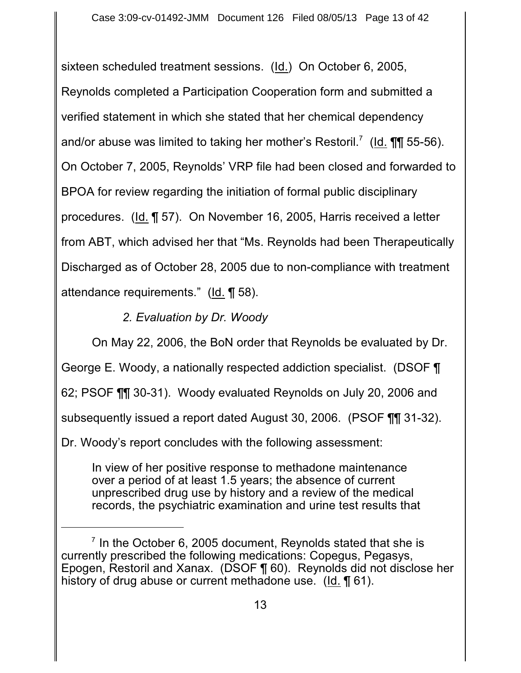sixteen scheduled treatment sessions. (Id.) On October 6, 2005, Reynolds completed a Participation Cooperation form and submitted a verified statement in which she stated that her chemical dependency and/or abuse was limited to taking her mother's Restoril.<sup>7</sup> (Id.  $\P\P$  55-56). On October 7, 2005, Reynolds' VRP file had been closed and forwarded to BPOA for review regarding the initiation of formal public disciplinary procedures. (Id. ¶ 57). On November 16, 2005, Harris received a letter from ABT, which advised her that "Ms. Reynolds had been Therapeutically Discharged as of October 28, 2005 due to non-compliance with treatment attendance requirements." (Id. ¶ 58).

# *2. Evaluation by Dr. Woody*

On May 22, 2006, the BoN order that Reynolds be evaluated by Dr. George E. Woody, a nationally respected addiction specialist. (DSOF ¶ 62; PSOF ¶¶ 30-31). Woody evaluated Reynolds on July 20, 2006 and subsequently issued a report dated August 30, 2006. (PSOF ¶¶ 31-32). Dr. Woody's report concludes with the following assessment:

In view of her positive response to methadone maintenance over a period of at least 1.5 years; the absence of current unprescribed drug use by history and a review of the medical records, the psychiatric examination and urine test results that

 $\frac{7}{1}$  In the October 6, 2005 document, Reynolds stated that she is currently prescribed the following medications: Copegus, Pegasys, Epogen, Restoril and Xanax. (DSOF ¶ 60). Reynolds did not disclose her history of drug abuse or current methadone use. (Id. 1 61).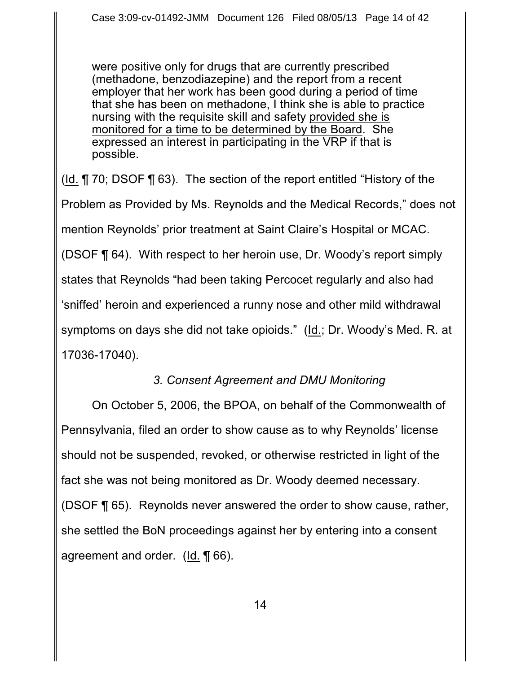were positive only for drugs that are currently prescribed (methadone, benzodiazepine) and the report from a recent employer that her work has been good during a period of time that she has been on methadone, I think she is able to practice nursing with the requisite skill and safety provided she is monitored for a time to be determined by the Board. She expressed an interest in participating in the VRP if that is possible.

(Id. ¶ 70; DSOF ¶ 63). The section of the report entitled "History of the Problem as Provided by Ms. Reynolds and the Medical Records," does not mention Reynolds' prior treatment at Saint Claire's Hospital or MCAC. (DSOF ¶ 64). With respect to her heroin use, Dr. Woody's report simply states that Reynolds "had been taking Percocet regularly and also had 'sniffed' heroin and experienced a runny nose and other mild withdrawal symptoms on days she did not take opioids." (Id.; Dr. Woody's Med. R. at 17036-17040).

### *3. Consent Agreement and DMU Monitoring*

On October 5, 2006, the BPOA, on behalf of the Commonwealth of Pennsylvania, filed an order to show cause as to why Reynolds' license should not be suspended, revoked, or otherwise restricted in light of the fact she was not being monitored as Dr. Woody deemed necessary. (DSOF ¶ 65). Reynolds never answered the order to show cause, rather, she settled the BoN proceedings against her by entering into a consent agreement and order. (Id. ¶ 66).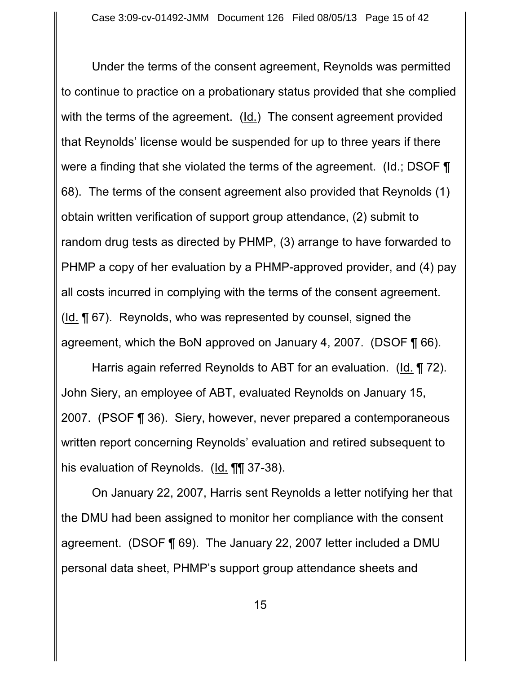Under the terms of the consent agreement, Reynolds was permitted to continue to practice on a probationary status provided that she complied with the terms of the agreement. (Id.) The consent agreement provided that Reynolds' license would be suspended for up to three years if there were a finding that she violated the terms of the agreement. (Id.; DSOF  $\P$ 68). The terms of the consent agreement also provided that Reynolds (1) obtain written verification of support group attendance, (2) submit to random drug tests as directed by PHMP, (3) arrange to have forwarded to PHMP a copy of her evaluation by a PHMP-approved provider, and (4) pay all costs incurred in complying with the terms of the consent agreement. (Id. ¶ 67). Reynolds, who was represented by counsel, signed the agreement, which the BoN approved on January 4, 2007. (DSOF ¶ 66).

Harris again referred Reynolds to ABT for an evaluation. (Id. ¶ 72). John Siery, an employee of ABT, evaluated Reynolds on January 15, 2007. (PSOF ¶ 36). Siery, however, never prepared a contemporaneous written report concerning Reynolds' evaluation and retired subsequent to his evaluation of Reynolds. (Id. **¶¶** 37-38).

On January 22, 2007, Harris sent Reynolds a letter notifying her that the DMU had been assigned to monitor her compliance with the consent agreement. (DSOF ¶ 69). The January 22, 2007 letter included a DMU personal data sheet, PHMP's support group attendance sheets and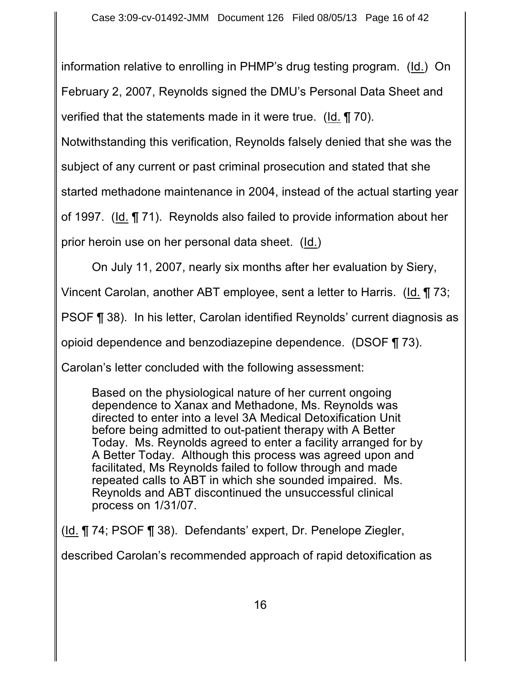information relative to enrolling in PHMP's drug testing program. (Id.) On February 2, 2007, Reynolds signed the DMU's Personal Data Sheet and verified that the statements made in it were true. (Id. ¶ 70).

Notwithstanding this verification, Reynolds falsely denied that she was the

subject of any current or past criminal prosecution and stated that she

started methadone maintenance in 2004, instead of the actual starting year

of 1997. (Id. ¶ 71). Reynolds also failed to provide information about her

prior heroin use on her personal data sheet. (Id.)

On July 11, 2007, nearly six months after her evaluation by Siery,

Vincent Carolan, another ABT employee, sent a letter to Harris. (Id. ¶ 73;

PSOF ¶ 38). In his letter, Carolan identified Reynolds' current diagnosis as

opioid dependence and benzodiazepine dependence. (DSOF ¶ 73).

Carolan's letter concluded with the following assessment:

Based on the physiological nature of her current ongoing dependence to Xanax and Methadone, Ms. Reynolds was directed to enter into a level 3A Medical Detoxification Unit before being admitted to out-patient therapy with A Better Today. Ms. Reynolds agreed to enter a facility arranged for by A Better Today. Although this process was agreed upon and facilitated, Ms Reynolds failed to follow through and made repeated calls to ABT in which she sounded impaired. Ms. Reynolds and ABT discontinued the unsuccessful clinical process on 1/31/07.

(Id. ¶ 74; PSOF ¶ 38). Defendants' expert, Dr. Penelope Ziegler,

described Carolan's recommended approach of rapid detoxification as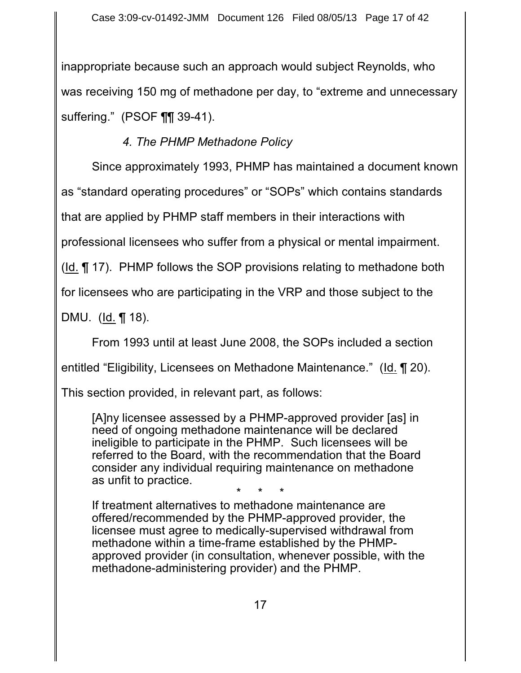inappropriate because such an approach would subject Reynolds, who was receiving 150 mg of methadone per day, to "extreme and unnecessary suffering." (PSOF ¶¶ 39-41).

# *4. The PHMP Methadone Policy*

Since approximately 1993, PHMP has maintained a document known as "standard operating procedures" or "SOPs" which contains standards that are applied by PHMP staff members in their interactions with professional licensees who suffer from a physical or mental impairment. (Id. ¶ 17). PHMP follows the SOP provisions relating to methadone both for licensees who are participating in the VRP and those subject to the

DMU. (Id. ¶ 18).

From 1993 until at least June 2008, the SOPs included a section

entitled "Eligibility, Licensees on Methadone Maintenance." (Id. ¶ 20).

This section provided, in relevant part, as follows:

[A]ny licensee assessed by a PHMP-approved provider [as] in need of ongoing methadone maintenance will be declared ineligible to participate in the PHMP. Such licensees will be referred to the Board, with the recommendation that the Board consider any individual requiring maintenance on methadone as unfit to practice.

\* \* \*

If treatment alternatives to methadone maintenance are offered/recommended by the PHMP-approved provider, the licensee must agree to medically-supervised withdrawal from methadone within a time-frame established by the PHMPapproved provider (in consultation, whenever possible, with the methadone-administering provider) and the PHMP.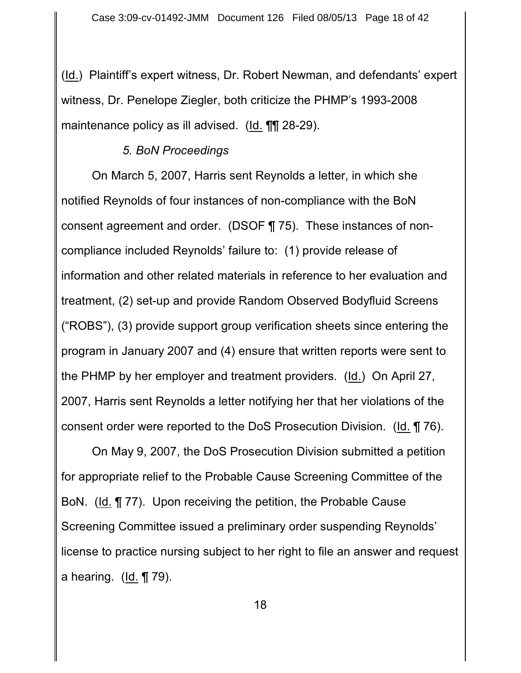(Id.) Plaintiff's expert witness, Dr. Robert Newman, and defendants' expert witness, Dr. Penelope Ziegler, both criticize the PHMP's 1993-2008 maintenance policy as ill advised. (Id. ¶¶ 28-29).

### *5. BoN Proceedings*

On March 5, 2007, Harris sent Reynolds a letter, in which she notified Reynolds of four instances of non-compliance with the BoN consent agreement and order. (DSOF ¶ 75). These instances of noncompliance included Reynolds' failure to: (1) provide release of information and other related materials in reference to her evaluation and treatment, (2) set-up and provide Random Observed Bodyfluid Screens ("ROBS"), (3) provide support group verification sheets since entering the program in January 2007 and (4) ensure that written reports were sent to the PHMP by her employer and treatment providers. (Id.) On April 27, 2007, Harris sent Reynolds a letter notifying her that her violations of the consent order were reported to the DoS Prosecution Division. (Id. ¶ 76).

On May 9, 2007, the DoS Prosecution Division submitted a petition for appropriate relief to the Probable Cause Screening Committee of the BoN. (Id. ¶ 77). Upon receiving the petition, the Probable Cause Screening Committee issued a preliminary order suspending Reynolds' license to practice nursing subject to her right to file an answer and request a hearing. (Id.  $\P$  79).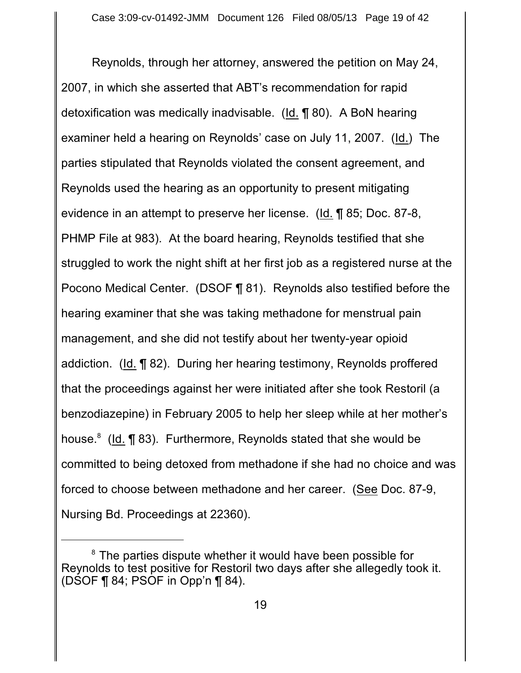Reynolds, through her attorney, answered the petition on May 24, 2007, in which she asserted that ABT's recommendation for rapid detoxification was medically inadvisable. (Id. ¶ 80). A BoN hearing examiner held a hearing on Reynolds' case on July 11, 2007. (Id.) The parties stipulated that Reynolds violated the consent agreement, and Reynolds used the hearing as an opportunity to present mitigating evidence in an attempt to preserve her license. (Id. ¶ 85; Doc. 87-8, PHMP File at 983). At the board hearing, Reynolds testified that she struggled to work the night shift at her first job as a registered nurse at the Pocono Medical Center. (DSOF ¶ 81). Reynolds also testified before the hearing examiner that she was taking methadone for menstrual pain management, and she did not testify about her twenty-year opioid addiction. (Id. ¶ 82). During her hearing testimony, Reynolds proffered that the proceedings against her were initiated after she took Restoril (a benzodiazepine) in February 2005 to help her sleep while at her mother's house. $8$  (Id.  $\P$  83). Furthermore, Reynolds stated that she would be committed to being detoxed from methadone if she had no choice and was forced to choose between methadone and her career. (See Doc. 87-9, Nursing Bd. Proceedings at 22360).

 ${}^{8}$  The parties dispute whether it would have been possible for Reynolds to test positive for Restoril two days after she allegedly took it. (DSOF  $\P$  84; PSOF in Opp'n  $\P$  84).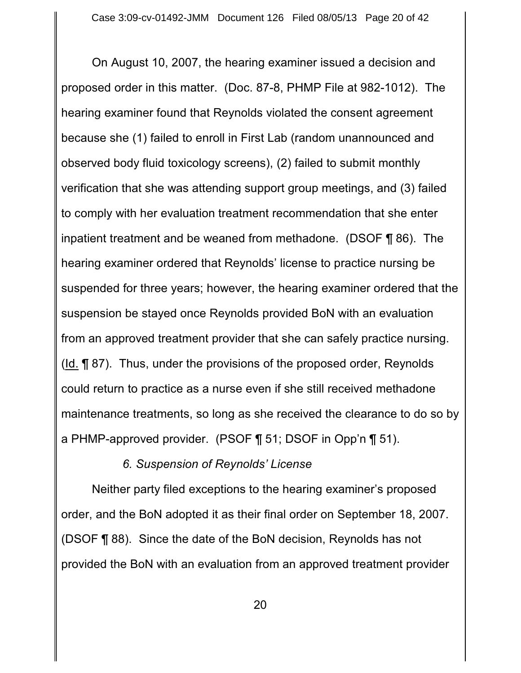On August 10, 2007, the hearing examiner issued a decision and proposed order in this matter. (Doc. 87-8, PHMP File at 982-1012). The hearing examiner found that Reynolds violated the consent agreement because she (1) failed to enroll in First Lab (random unannounced and observed body fluid toxicology screens), (2) failed to submit monthly verification that she was attending support group meetings, and (3) failed to comply with her evaluation treatment recommendation that she enter inpatient treatment and be weaned from methadone. (DSOF ¶ 86). The hearing examiner ordered that Reynolds' license to practice nursing be suspended for three years; however, the hearing examiner ordered that the suspension be stayed once Reynolds provided BoN with an evaluation from an approved treatment provider that she can safely practice nursing. (Id. ¶ 87). Thus, under the provisions of the proposed order, Reynolds could return to practice as a nurse even if she still received methadone maintenance treatments, so long as she received the clearance to do so by a PHMP-approved provider. (PSOF ¶ 51; DSOF in Opp'n ¶ 51).

*6. Suspension of Reynolds' License* 

Neither party filed exceptions to the hearing examiner's proposed order, and the BoN adopted it as their final order on September 18, 2007. (DSOF ¶ 88). Since the date of the BoN decision, Reynolds has not provided the BoN with an evaluation from an approved treatment provider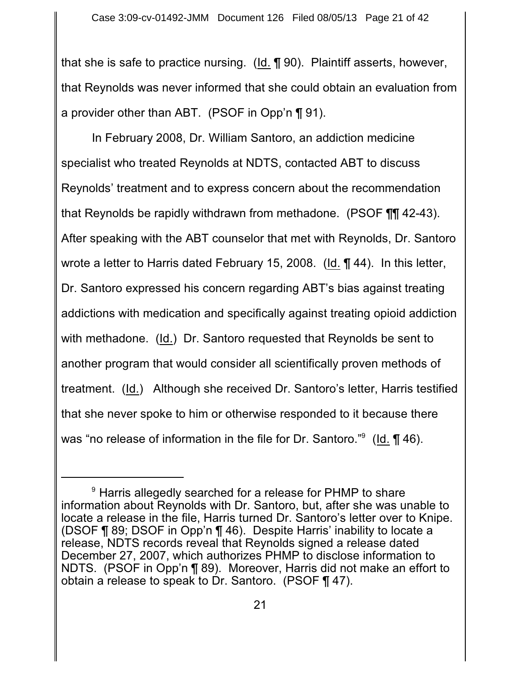that she is safe to practice nursing. (Id. ¶ 90). Plaintiff asserts, however, that Reynolds was never informed that she could obtain an evaluation from a provider other than ABT. (PSOF in Opp'n ¶ 91).

In February 2008, Dr. William Santoro, an addiction medicine specialist who treated Reynolds at NDTS, contacted ABT to discuss Reynolds' treatment and to express concern about the recommendation that Reynolds be rapidly withdrawn from methadone. (PSOF ¶¶ 42-43). After speaking with the ABT counselor that met with Reynolds, Dr. Santoro wrote a letter to Harris dated February 15, 2008. (Id. ¶ 44). In this letter, Dr. Santoro expressed his concern regarding ABT's bias against treating addictions with medication and specifically against treating opioid addiction with methadone. (Id.) Dr. Santoro requested that Reynolds be sent to another program that would consider all scientifically proven methods of treatment. (Id.) Although she received Dr. Santoro's letter, Harris testified that she never spoke to him or otherwise responded to it because there was "no release of information in the file for Dr. Santoro."<sup>9</sup> (Id. ¶ 46).

<sup>&</sup>lt;sup>9</sup> Harris allegedly searched for a release for PHMP to share information about Reynolds with Dr. Santoro, but, after she was unable to locate a release in the file, Harris turned Dr. Santoro's letter over to Knipe. (DSOF ¶ 89; DSOF in Opp'n ¶ 46). Despite Harris' inability to locate a release, NDTS records reveal that Reynolds signed a release dated December 27, 2007, which authorizes PHMP to disclose information to NDTS. (PSOF in Opp'n ¶ 89). Moreover, Harris did not make an effort to obtain a release to speak to Dr. Santoro. (PSOF ¶ 47).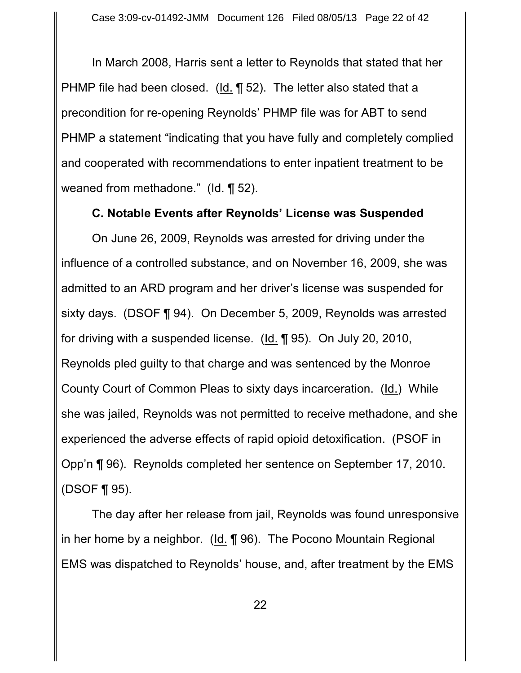In March 2008, Harris sent a letter to Reynolds that stated that her PHMP file had been closed.  $(\underline{Id.} \P 52)$ . The letter also stated that a precondition for re-opening Reynolds' PHMP file was for ABT to send PHMP a statement "indicating that you have fully and completely complied and cooperated with recommendations to enter inpatient treatment to be weaned from methadone." (Id. ¶ 52).

#### **C. Notable Events after Reynolds' License was Suspended**

On June 26, 2009, Reynolds was arrested for driving under the influence of a controlled substance, and on November 16, 2009, she was admitted to an ARD program and her driver's license was suspended for sixty days. (DSOF ¶ 94). On December 5, 2009, Reynolds was arrested for driving with a suspended license. (Id. ¶ 95). On July 20, 2010, Reynolds pled guilty to that charge and was sentenced by the Monroe County Court of Common Pleas to sixty days incarceration. (Id.) While she was jailed, Reynolds was not permitted to receive methadone, and she experienced the adverse effects of rapid opioid detoxification. (PSOF in Opp'n ¶ 96). Reynolds completed her sentence on September 17, 2010. (DSOF ¶ 95).

The day after her release from jail, Reynolds was found unresponsive in her home by a neighbor. (Id. ¶ 96). The Pocono Mountain Regional EMS was dispatched to Reynolds' house, and, after treatment by the EMS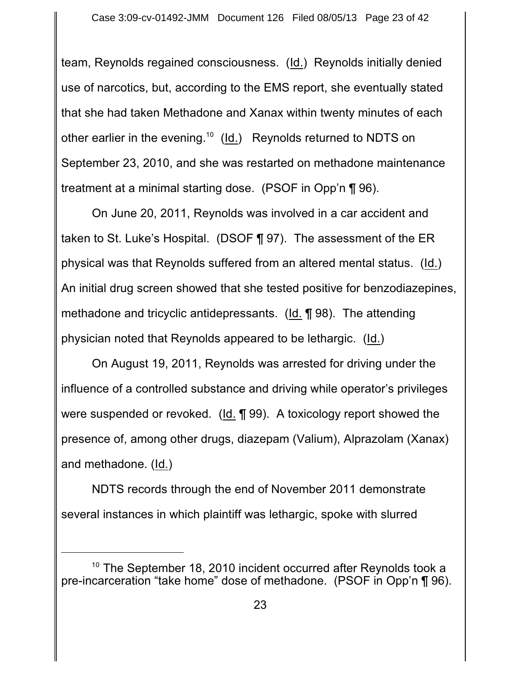team, Reynolds regained consciousness. (Id.) Reynolds initially denied use of narcotics, but, according to the EMS report, she eventually stated that she had taken Methadone and Xanax within twenty minutes of each other earlier in the evening.<sup>10</sup> (Id.) Reynolds returned to NDTS on September 23, 2010, and she was restarted on methadone maintenance treatment at a minimal starting dose. (PSOF in Opp'n ¶ 96).

On June 20, 2011, Reynolds was involved in a car accident and taken to St. Luke's Hospital. (DSOF ¶ 97). The assessment of the ER physical was that Reynolds suffered from an altered mental status. (Id.) An initial drug screen showed that she tested positive for benzodiazepines, methadone and tricyclic antidepressants. (Id. ¶ 98). The attending physician noted that Reynolds appeared to be lethargic. (Id.)

On August 19, 2011, Reynolds was arrested for driving under the influence of a controlled substance and driving while operator's privileges were suspended or revoked. (Id. ¶ 99). A toxicology report showed the presence of, among other drugs, diazepam (Valium), Alprazolam (Xanax) and methadone. (Id.)

NDTS records through the end of November 2011 demonstrate several instances in which plaintiff was lethargic, spoke with slurred

 $10$  The September 18, 2010 incident occurred after Reynolds took a pre-incarceration "take home" dose of methadone. (PSOF in Opp'n ¶ 96).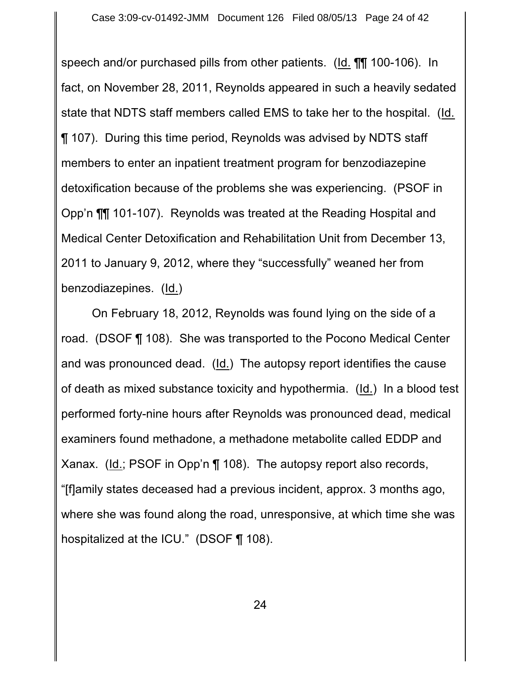speech and/or purchased pills from other patients. (Id. ¶¶ 100-106). In fact, on November 28, 2011, Reynolds appeared in such a heavily sedated state that NDTS staff members called EMS to take her to the hospital. (Id. ¶ 107). During this time period, Reynolds was advised by NDTS staff members to enter an inpatient treatment program for benzodiazepine detoxification because of the problems she was experiencing. (PSOF in Opp'n ¶¶ 101-107). Reynolds was treated at the Reading Hospital and Medical Center Detoxification and Rehabilitation Unit from December 13, 2011 to January 9, 2012, where they "successfully" weaned her from benzodiazepines. (Id.)

On February 18, 2012, Reynolds was found lying on the side of a road. (DSOF ¶ 108). She was transported to the Pocono Medical Center and was pronounced dead. (Id.) The autopsy report identifies the cause of death as mixed substance toxicity and hypothermia. (Id.) In a blood test performed forty-nine hours after Reynolds was pronounced dead, medical examiners found methadone, a methadone metabolite called EDDP and Xanax. (Id.; PSOF in Opp'n ¶ 108). The autopsy report also records, "[f]amily states deceased had a previous incident, approx. 3 months ago, where she was found along the road, unresponsive, at which time she was hospitalized at the ICU." (DSOF ¶ 108).

24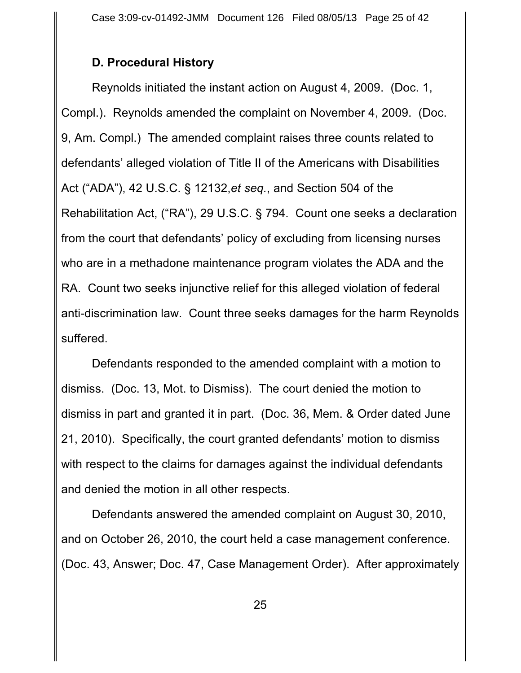### **D. Procedural History**

Reynolds initiated the instant action on August 4, 2009. (Doc. 1, Compl.). Reynolds amended the complaint on November 4, 2009. (Doc. 9, Am. Compl.) The amended complaint raises three counts related to defendants' alleged violation of Title II of the Americans with Disabilities Act ("ADA"), 42 U.S.C. § 12132,*et seq.*, and Section 504 of the Rehabilitation Act, ("RA"), 29 U.S.C. § 794. Count one seeks a declaration from the court that defendants' policy of excluding from licensing nurses who are in a methadone maintenance program violates the ADA and the RA. Count two seeks injunctive relief for this alleged violation of federal anti-discrimination law. Count three seeks damages for the harm Reynolds suffered.

Defendants responded to the amended complaint with a motion to dismiss. (Doc. 13, Mot. to Dismiss). The court denied the motion to dismiss in part and granted it in part. (Doc. 36, Mem. & Order dated June 21, 2010). Specifically, the court granted defendants' motion to dismiss with respect to the claims for damages against the individual defendants and denied the motion in all other respects.

Defendants answered the amended complaint on August 30, 2010, and on October 26, 2010, the court held a case management conference. (Doc. 43, Answer; Doc. 47, Case Management Order). After approximately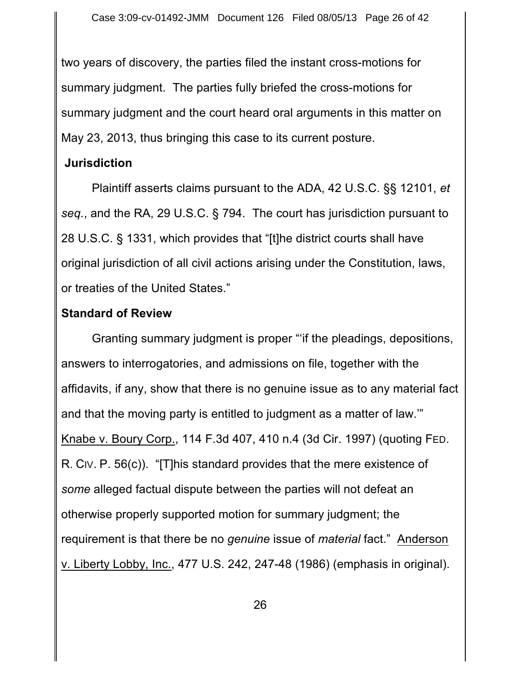two years of discovery, the parties filed the instant cross-motions for summary judgment. The parties fully briefed the cross-motions for summary judgment and the court heard oral arguments in this matter on May 23, 2013, thus bringing this case to its current posture.

## **Jurisdiction**

Plaintiff asserts claims pursuant to the ADA, 42 U.S.C. §§ 12101, *et seq.*, and the RA, 29 U.S.C. § 794. The court has jurisdiction pursuant to 28 U.S.C. § 1331, which provides that "[t]he district courts shall have original jurisdiction of all civil actions arising under the Constitution, laws, or treaties of the United States."

## **Standard of Review**

Granting summary judgment is proper "'if the pleadings, depositions, answers to interrogatories, and admissions on file, together with the affidavits, if any, show that there is no genuine issue as to any material fact and that the moving party is entitled to judgment as a matter of law.'" Knabe v. Boury Corp., 114 F.3d 407, 410 n.4 (3d Cir. 1997) (quoting FED. R. CIV. P. 56(c)). "[T]his standard provides that the mere existence of *some* alleged factual dispute between the parties will not defeat an otherwise properly supported motion for summary judgment; the requirement is that there be no *genuine* issue of *material* fact." Anderson v. Liberty Lobby, Inc., 477 U.S. 242, 247-48 (1986) (emphasis in original).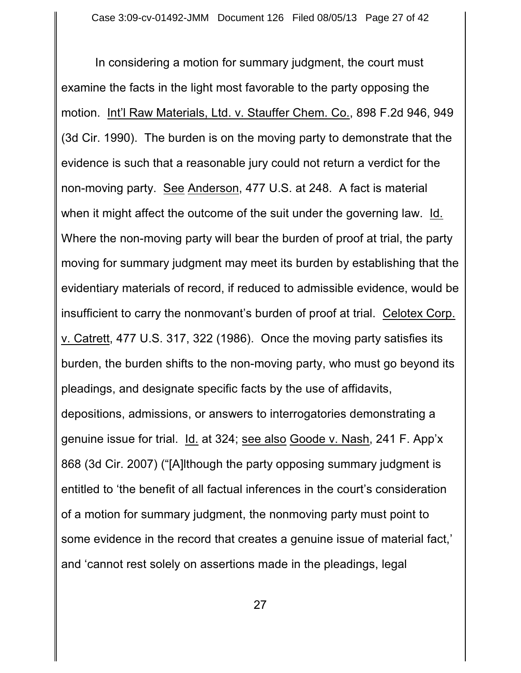In considering a motion for summary judgment, the court must examine the facts in the light most favorable to the party opposing the motion. Int'l Raw Materials, Ltd. v. Stauffer Chem. Co., 898 F.2d 946, 949 (3d Cir. 1990). The burden is on the moving party to demonstrate that the evidence is such that a reasonable jury could not return a verdict for the non-moving party. See Anderson, 477 U.S. at 248. A fact is material when it might affect the outcome of the suit under the governing law. Id. Where the non-moving party will bear the burden of proof at trial, the party moving for summary judgment may meet its burden by establishing that the evidentiary materials of record, if reduced to admissible evidence, would be insufficient to carry the nonmovant's burden of proof at trial. Celotex Corp. v. Catrett, 477 U.S. 317, 322 (1986). Once the moving party satisfies its burden, the burden shifts to the non-moving party, who must go beyond its pleadings, and designate specific facts by the use of affidavits, depositions, admissions, or answers to interrogatories demonstrating a genuine issue for trial. Id. at 324; see also Goode v. Nash, 241 F. App'x 868 (3d Cir. 2007) ("[A]lthough the party opposing summary judgment is entitled to 'the benefit of all factual inferences in the court's consideration of a motion for summary judgment, the nonmoving party must point to some evidence in the record that creates a genuine issue of material fact,' and 'cannot rest solely on assertions made in the pleadings, legal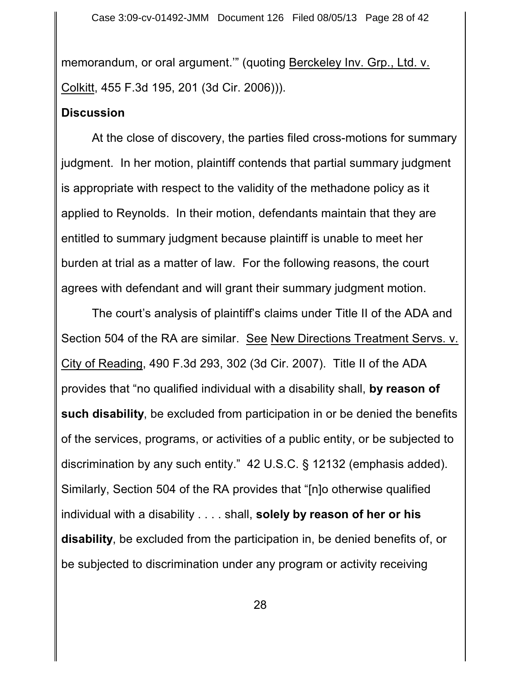memorandum, or oral argument.'" (quoting Berckeley Inv. Grp., Ltd. v. Colkitt, 455 F.3d 195, 201 (3d Cir. 2006))).

#### **Discussion**

At the close of discovery, the parties filed cross-motions for summary judgment. In her motion, plaintiff contends that partial summary judgment is appropriate with respect to the validity of the methadone policy as it applied to Reynolds. In their motion, defendants maintain that they are entitled to summary judgment because plaintiff is unable to meet her burden at trial as a matter of law. For the following reasons, the court agrees with defendant and will grant their summary judgment motion.

The court's analysis of plaintiff's claims under Title II of the ADA and Section 504 of the RA are similar. See New Directions Treatment Servs. v. City of Reading, 490 F.3d 293, 302 (3d Cir. 2007). Title II of the ADA provides that "no qualified individual with a disability shall, **by reason of such disability**, be excluded from participation in or be denied the benefits of the services, programs, or activities of a public entity, or be subjected to discrimination by any such entity." 42 U.S.C. § 12132 (emphasis added). Similarly, Section 504 of the RA provides that "[n]o otherwise qualified individual with a disability . . . . shall, **solely by reason of her or his disability**, be excluded from the participation in, be denied benefits of, or be subjected to discrimination under any program or activity receiving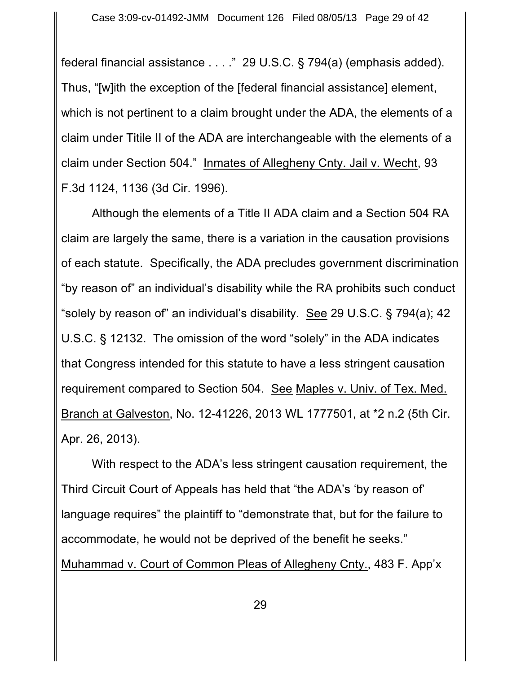federal financial assistance . . . ." 29 U.S.C. § 794(a) (emphasis added). Thus, "[w]ith the exception of the [federal financial assistance] element, which is not pertinent to a claim brought under the ADA, the elements of a claim under Titile II of the ADA are interchangeable with the elements of a claim under Section 504." Inmates of Allegheny Cnty. Jail v. Wecht, 93 F.3d 1124, 1136 (3d Cir. 1996).

Although the elements of a Title II ADA claim and a Section 504 RA claim are largely the same, there is a variation in the causation provisions of each statute. Specifically, the ADA precludes government discrimination "by reason of" an individual's disability while the RA prohibits such conduct "solely by reason of" an individual's disability. See 29 U.S.C. § 794(a); 42 U.S.C. § 12132. The omission of the word "solely" in the ADA indicates that Congress intended for this statute to have a less stringent causation requirement compared to Section 504. See Maples v. Univ. of Tex. Med. Branch at Galveston, No. 12-41226, 2013 WL 1777501, at \*2 n.2 (5th Cir. Apr. 26, 2013).

With respect to the ADA's less stringent causation requirement, the Third Circuit Court of Appeals has held that "the ADA's 'by reason of' language requires" the plaintiff to "demonstrate that, but for the failure to accommodate, he would not be deprived of the benefit he seeks." Muhammad v. Court of Common Pleas of Allegheny Cnty., 483 F. App'x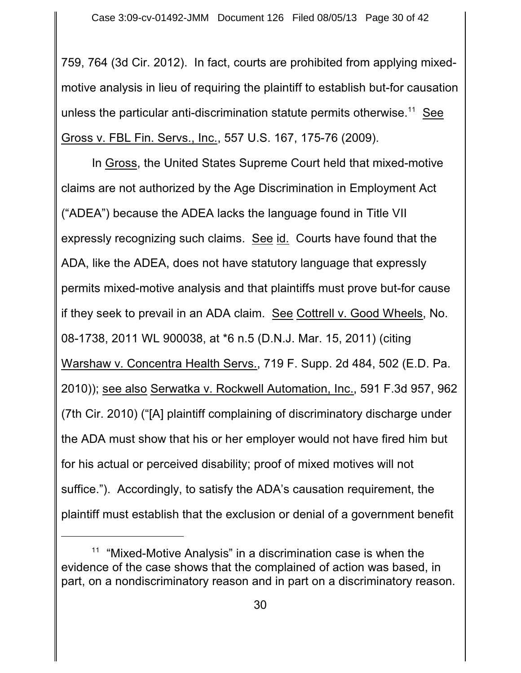759, 764 (3d Cir. 2012). In fact, courts are prohibited from applying mixedmotive analysis in lieu of requiring the plaintiff to establish but-for causation unless the particular anti-discrimination statute permits otherwise.<sup>11</sup> See Gross v. FBL Fin. Servs., Inc., 557 U.S. 167, 175-76 (2009).

In Gross, the United States Supreme Court held that mixed-motive claims are not authorized by the Age Discrimination in Employment Act ("ADEA") because the ADEA lacks the language found in Title VII expressly recognizing such claims. See id. Courts have found that the ADA, like the ADEA, does not have statutory language that expressly permits mixed-motive analysis and that plaintiffs must prove but-for cause if they seek to prevail in an ADA claim. See Cottrell v. Good Wheels, No. 08-1738, 2011 WL 900038, at \*6 n.5 (D.N.J. Mar. 15, 2011) (citing Warshaw v. Concentra Health Servs., 719 F. Supp. 2d 484, 502 (E.D. Pa. 2010)); see also Serwatka v. Rockwell Automation, Inc., 591 F.3d 957, 962 (7th Cir. 2010) ("[A] plaintiff complaining of discriminatory discharge under the ADA must show that his or her employer would not have fired him but for his actual or perceived disability; proof of mixed motives will not suffice."). Accordingly, to satisfy the ADA's causation requirement, the plaintiff must establish that the exclusion or denial of a government benefit

 $11$  "Mixed-Motive Analysis" in a discrimination case is when the evidence of the case shows that the complained of action was based, in part, on a nondiscriminatory reason and in part on a discriminatory reason.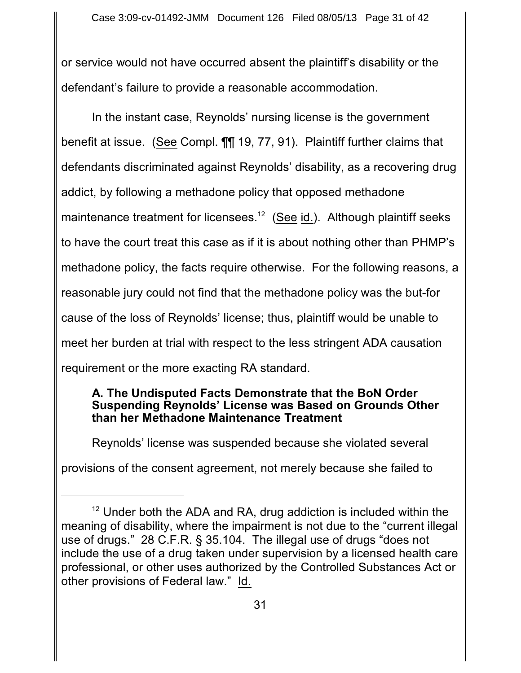or service would not have occurred absent the plaintiff's disability or the defendant's failure to provide a reasonable accommodation.

In the instant case, Reynolds' nursing license is the government benefit at issue. (See Compl. ¶¶ 19, 77, 91). Plaintiff further claims that defendants discriminated against Reynolds' disability, as a recovering drug addict, by following a methadone policy that opposed methadone maintenance treatment for licensees.<sup>12</sup> (See id.). Although plaintiff seeks to have the court treat this case as if it is about nothing other than PHMP's methadone policy, the facts require otherwise. For the following reasons, a reasonable jury could not find that the methadone policy was the but-for cause of the loss of Reynolds' license; thus, plaintiff would be unable to meet her burden at trial with respect to the less stringent ADA causation requirement or the more exacting RA standard.

#### **A. The Undisputed Facts Demonstrate that the BoN Order Suspending Reynolds' License was Based on Grounds Other than her Methadone Maintenance Treatment**

Reynolds' license was suspended because she violated several

provisions of the consent agreement, not merely because she failed to

 $12$  Under both the ADA and RA, drug addiction is included within the meaning of disability, where the impairment is not due to the "current illegal use of drugs." 28 C.F.R. § 35.104. The illegal use of drugs "does not include the use of a drug taken under supervision by a licensed health care professional, or other uses authorized by the Controlled Substances Act or other provisions of Federal law." Id.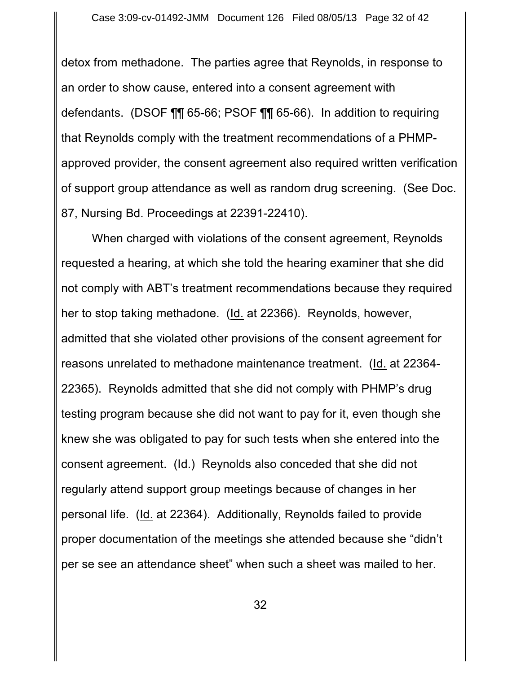detox from methadone. The parties agree that Reynolds, in response to an order to show cause, entered into a consent agreement with defendants. (DSOF ¶¶ 65-66; PSOF ¶¶ 65-66). In addition to requiring that Reynolds comply with the treatment recommendations of a PHMPapproved provider, the consent agreement also required written verification of support group attendance as well as random drug screening. (See Doc. 87, Nursing Bd. Proceedings at 22391-22410).

When charged with violations of the consent agreement, Reynolds requested a hearing, at which she told the hearing examiner that she did not comply with ABT's treatment recommendations because they required her to stop taking methadone. (Id. at 22366). Reynolds, however, admitted that she violated other provisions of the consent agreement for reasons unrelated to methadone maintenance treatment. (Id. at 22364- 22365). Reynolds admitted that she did not comply with PHMP's drug testing program because she did not want to pay for it, even though she knew she was obligated to pay for such tests when she entered into the consent agreement. (Id.) Reynolds also conceded that she did not regularly attend support group meetings because of changes in her personal life. (Id. at 22364). Additionally, Reynolds failed to provide proper documentation of the meetings she attended because she "didn't per se see an attendance sheet" when such a sheet was mailed to her.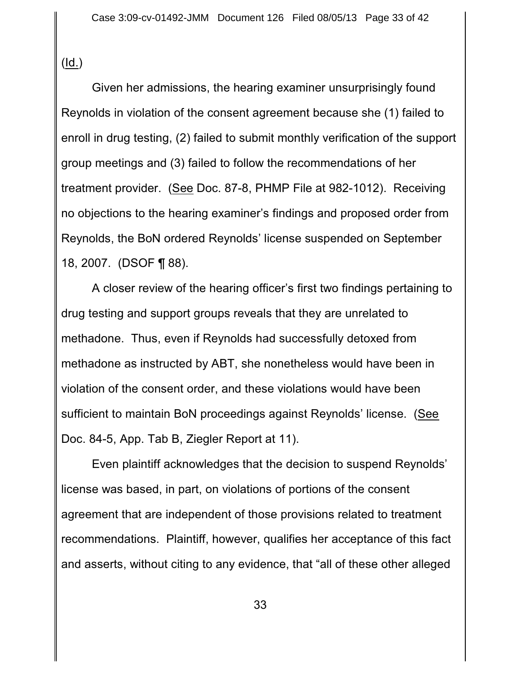$(\underline{Id.})$ 

Given her admissions, the hearing examiner unsurprisingly found Reynolds in violation of the consent agreement because she (1) failed to enroll in drug testing, (2) failed to submit monthly verification of the support group meetings and (3) failed to follow the recommendations of her treatment provider. (See Doc. 87-8, PHMP File at 982-1012). Receiving no objections to the hearing examiner's findings and proposed order from Reynolds, the BoN ordered Reynolds' license suspended on September 18, 2007. (DSOF ¶ 88).

A closer review of the hearing officer's first two findings pertaining to drug testing and support groups reveals that they are unrelated to methadone. Thus, even if Reynolds had successfully detoxed from methadone as instructed by ABT, she nonetheless would have been in violation of the consent order, and these violations would have been sufficient to maintain BoN proceedings against Reynolds' license. (See Doc. 84-5, App. Tab B, Ziegler Report at 11).

Even plaintiff acknowledges that the decision to suspend Reynolds' license was based, in part, on violations of portions of the consent agreement that are independent of those provisions related to treatment recommendations. Plaintiff, however, qualifies her acceptance of this fact and asserts, without citing to any evidence, that "all of these other alleged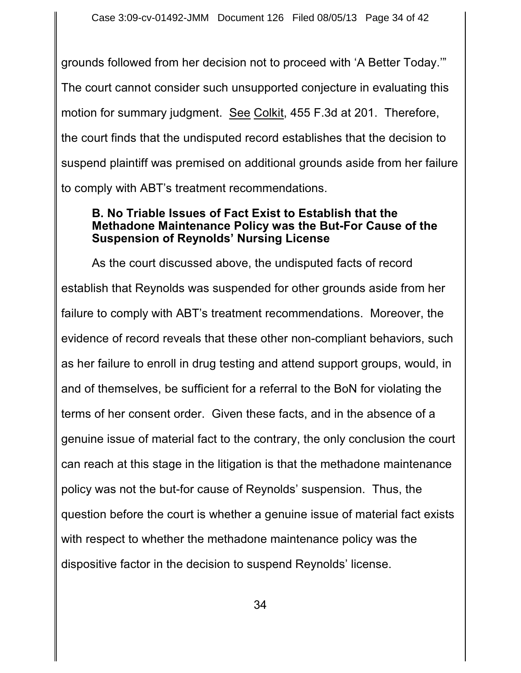grounds followed from her decision not to proceed with 'A Better Today.'" The court cannot consider such unsupported conjecture in evaluating this motion for summary judgment. See Colkit, 455 F.3d at 201. Therefore, the court finds that the undisputed record establishes that the decision to suspend plaintiff was premised on additional grounds aside from her failure to comply with ABT's treatment recommendations.

#### **B. No Triable Issues of Fact Exist to Establish that the Methadone Maintenance Policy was the But-For Cause of the Suspension of Reynolds' Nursing License**

As the court discussed above, the undisputed facts of record establish that Reynolds was suspended for other grounds aside from her failure to comply with ABT's treatment recommendations. Moreover, the evidence of record reveals that these other non-compliant behaviors, such as her failure to enroll in drug testing and attend support groups, would, in and of themselves, be sufficient for a referral to the BoN for violating the terms of her consent order. Given these facts, and in the absence of a genuine issue of material fact to the contrary, the only conclusion the court can reach at this stage in the litigation is that the methadone maintenance policy was not the but-for cause of Reynolds' suspension. Thus, the question before the court is whether a genuine issue of material fact exists with respect to whether the methadone maintenance policy was the dispositive factor in the decision to suspend Reynolds' license.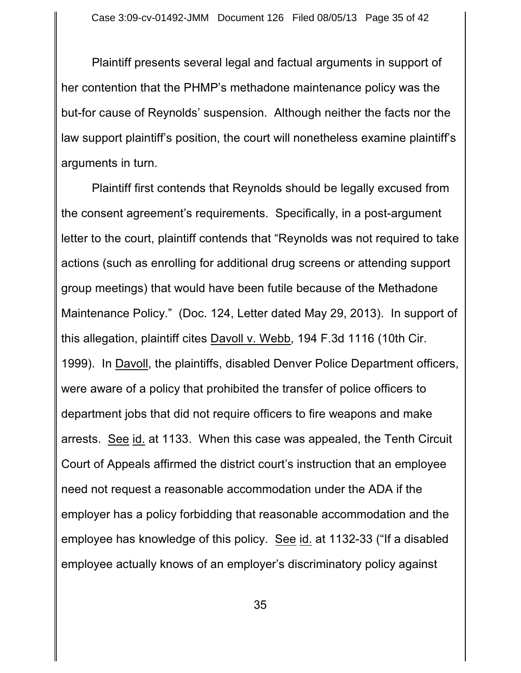Plaintiff presents several legal and factual arguments in support of her contention that the PHMP's methadone maintenance policy was the but-for cause of Reynolds' suspension. Although neither the facts nor the law support plaintiff's position, the court will nonetheless examine plaintiff's arguments in turn.

Plaintiff first contends that Reynolds should be legally excused from the consent agreement's requirements. Specifically, in a post-argument letter to the court, plaintiff contends that "Reynolds was not required to take actions (such as enrolling for additional drug screens or attending support group meetings) that would have been futile because of the Methadone Maintenance Policy." (Doc. 124, Letter dated May 29, 2013). In support of this allegation, plaintiff cites Davoll v. Webb, 194 F.3d 1116 (10th Cir. 1999). In Davoll, the plaintiffs, disabled Denver Police Department officers, were aware of a policy that prohibited the transfer of police officers to department jobs that did not require officers to fire weapons and make arrests. See id. at 1133. When this case was appealed, the Tenth Circuit Court of Appeals affirmed the district court's instruction that an employee need not request a reasonable accommodation under the ADA if the employer has a policy forbidding that reasonable accommodation and the employee has knowledge of this policy. See id. at 1132-33 ("If a disabled employee actually knows of an employer's discriminatory policy against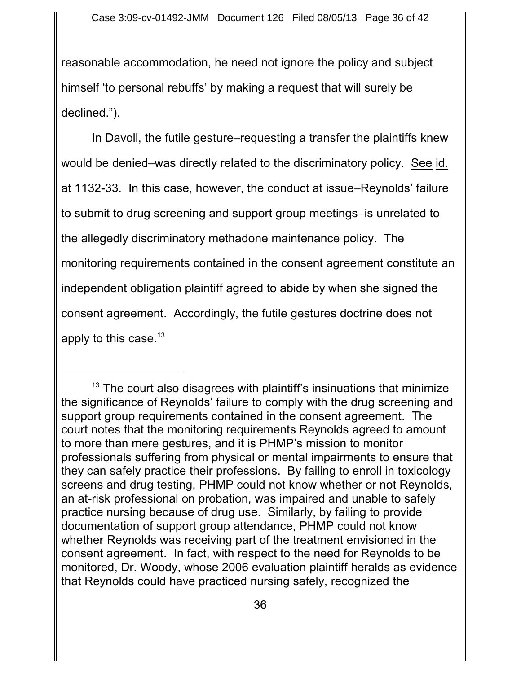reasonable accommodation, he need not ignore the policy and subject himself 'to personal rebuffs' by making a request that will surely be declined.").

In Davoll, the futile gesture–requesting a transfer the plaintiffs knew would be denied–was directly related to the discriminatory policy. See id. at 1132-33. In this case, however, the conduct at issue–Reynolds' failure to submit to drug screening and support group meetings–is unrelated to the allegedly discriminatory methadone maintenance policy. The monitoring requirements contained in the consent agreement constitute an independent obligation plaintiff agreed to abide by when she signed the consent agreement. Accordingly, the futile gestures doctrine does not apply to this case. $^\mathrm{13}$ 

 $13$  The court also disagrees with plaintiff's insinuations that minimize the significance of Reynolds' failure to comply with the drug screening and support group requirements contained in the consent agreement. The court notes that the monitoring requirements Reynolds agreed to amount to more than mere gestures, and it is PHMP's mission to monitor professionals suffering from physical or mental impairments to ensure that they can safely practice their professions. By failing to enroll in toxicology screens and drug testing, PHMP could not know whether or not Reynolds, an at-risk professional on probation, was impaired and unable to safely practice nursing because of drug use. Similarly, by failing to provide documentation of support group attendance, PHMP could not know whether Reynolds was receiving part of the treatment envisioned in the consent agreement. In fact, with respect to the need for Reynolds to be monitored, Dr. Woody, whose 2006 evaluation plaintiff heralds as evidence that Reynolds could have practiced nursing safely, recognized the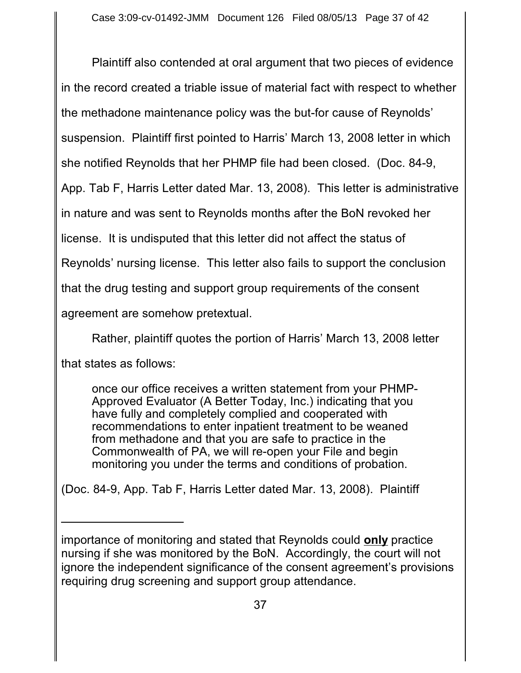Plaintiff also contended at oral argument that two pieces of evidence in the record created a triable issue of material fact with respect to whether the methadone maintenance policy was the but-for cause of Reynolds' suspension. Plaintiff first pointed to Harris' March 13, 2008 letter in which she notified Reynolds that her PHMP file had been closed. (Doc. 84-9, App. Tab F, Harris Letter dated Mar. 13, 2008). This letter is administrative in nature and was sent to Reynolds months after the BoN revoked her license. It is undisputed that this letter did not affect the status of Reynolds' nursing license. This letter also fails to support the conclusion that the drug testing and support group requirements of the consent agreement are somehow pretextual.

Rather, plaintiff quotes the portion of Harris' March 13, 2008 letter that states as follows:

once our office receives a written statement from your PHMP-Approved Evaluator (A Better Today, Inc.) indicating that you have fully and completely complied and cooperated with recommendations to enter inpatient treatment to be weaned from methadone and that you are safe to practice in the Commonwealth of PA, we will re-open your File and begin monitoring you under the terms and conditions of probation.

(Doc. 84-9, App. Tab F, Harris Letter dated Mar. 13, 2008). Plaintiff

importance of monitoring and stated that Reynolds could **only** practice nursing if she was monitored by the BoN. Accordingly, the court will not ignore the independent significance of the consent agreement's provisions requiring drug screening and support group attendance.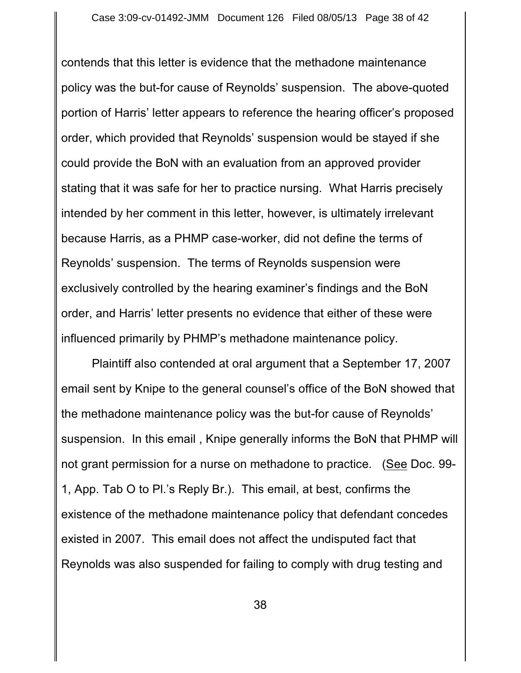contends that this letter is evidence that the methadone maintenance policy was the but-for cause of Reynolds' suspension. The above-quoted portion of Harris' letter appears to reference the hearing officer's proposed order, which provided that Reynolds' suspension would be stayed if she could provide the BoN with an evaluation from an approved provider stating that it was safe for her to practice nursing. What Harris precisely intended by her comment in this letter, however, is ultimately irrelevant because Harris, as a PHMP case-worker, did not define the terms of Reynolds' suspension. The terms of Reynolds suspension were exclusively controlled by the hearing examiner's findings and the BoN order, and Harris' letter presents no evidence that either of these were influenced primarily by PHMP's methadone maintenance policy.

Plaintiff also contended at oral argument that a September 17, 2007 email sent by Knipe to the general counsel's office of the BoN showed that the methadone maintenance policy was the but-for cause of Reynolds' suspension. In this email , Knipe generally informs the BoN that PHMP will not grant permission for a nurse on methadone to practice. (See Doc. 99- 1, App. Tab O to Pl.'s Reply Br.). This email, at best, confirms the existence of the methadone maintenance policy that defendant concedes existed in 2007. This email does not affect the undisputed fact that Reynolds was also suspended for failing to comply with drug testing and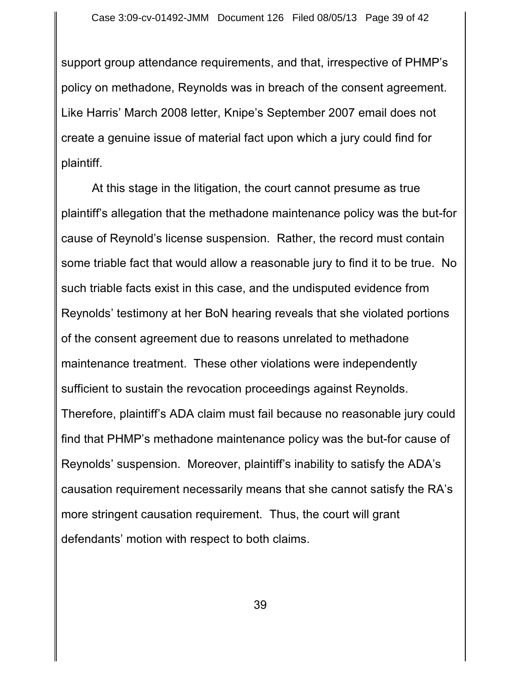support group attendance requirements, and that, irrespective of PHMP's policy on methadone, Reynolds was in breach of the consent agreement. Like Harris' March 2008 letter, Knipe's September 2007 email does not create a genuine issue of material fact upon which a jury could find for plaintiff.

At this stage in the litigation, the court cannot presume as true plaintiff's allegation that the methadone maintenance policy was the but-for cause of Reynold's license suspension. Rather, the record must contain some triable fact that would allow a reasonable jury to find it to be true. No such triable facts exist in this case, and the undisputed evidence from Reynolds' testimony at her BoN hearing reveals that she violated portions of the consent agreement due to reasons unrelated to methadone maintenance treatment. These other violations were independently sufficient to sustain the revocation proceedings against Reynolds. Therefore, plaintiff's ADA claim must fail because no reasonable jury could find that PHMP's methadone maintenance policy was the but-for cause of Reynolds' suspension. Moreover, plaintiff's inability to satisfy the ADA's causation requirement necessarily means that she cannot satisfy the RA's more stringent causation requirement. Thus, the court will grant defendants' motion with respect to both claims.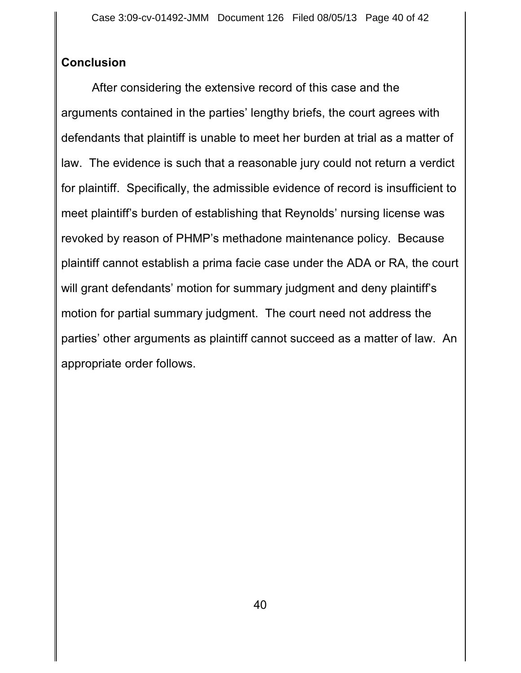# **Conclusion**

After considering the extensive record of this case and the arguments contained in the parties' lengthy briefs, the court agrees with defendants that plaintiff is unable to meet her burden at trial as a matter of law. The evidence is such that a reasonable jury could not return a verdict for plaintiff. Specifically, the admissible evidence of record is insufficient to meet plaintiff's burden of establishing that Reynolds' nursing license was revoked by reason of PHMP's methadone maintenance policy. Because plaintiff cannot establish a prima facie case under the ADA or RA, the court will grant defendants' motion for summary judgment and deny plaintiff's motion for partial summary judgment. The court need not address the parties' other arguments as plaintiff cannot succeed as a matter of law. An appropriate order follows.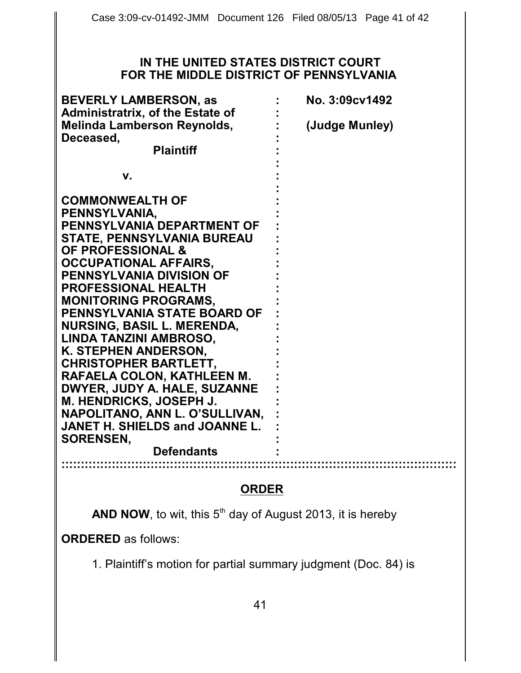#### **IN THE UNITED STATES DISTRICT COURT FOR THE MIDDLE DISTRICT OF PENNSYLVANIA**

| <b>BEVERLY LAMBERSON, as</b>            | No. 3:09cv1492 |
|-----------------------------------------|----------------|
| <b>Administratrix, of the Estate of</b> |                |
| <b>Melinda Lamberson Reynolds,</b>      | (Judge Munley) |
| Deceased,                               |                |
| <b>Plaintiff</b>                        |                |
| V.                                      |                |
| <b>COMMONWEALTH OF</b>                  |                |
| PENNSYLVANIA,                           |                |
| PENNSYLVANIA DEPARTMENT OF              |                |
| <b>STATE, PENNSYLVANIA BUREAU</b>       |                |
| <b>OF PROFESSIONAL &amp;</b>            |                |
| <b>OCCUPATIONAL AFFAIRS,</b>            |                |
| <b>PENNSYLVANIA DIVISION OF</b>         |                |
| <b>PROFESSIONAL HEALTH</b>              |                |
| <b>MONITORING PROGRAMS,</b>             |                |
| <b>PENNSYLVANIA STATE BOARD OF</b>      |                |
| <b>NURSING, BASIL L. MERENDA,</b>       |                |
| LINDA TANZINI AMBROSO,                  |                |
| K. STEPHEN ANDERSON,                    |                |
| <b>CHRISTOPHER BARTLETT,</b>            |                |
| RAFAELA COLON, KATHLEEN M.              |                |
| DWYER, JUDY A. HALE, SUZANNE            |                |
| M. HENDRICKS, JOSEPH J.                 |                |
| NAPOLITANO, ANN L. O'SULLIVAN,          |                |
| <b>JANET H. SHIELDS and JOANNE L.</b>   |                |
| <b>SORENSEN,</b>                        |                |
| <b>Defendants</b>                       |                |
|                                         |                |

### **ORDER**

**AND NOW**, to wit, this  $5<sup>th</sup>$  day of August 2013, it is hereby

**ORDERED** as follows:

1. Plaintiff's motion for partial summary judgment (Doc. 84) is